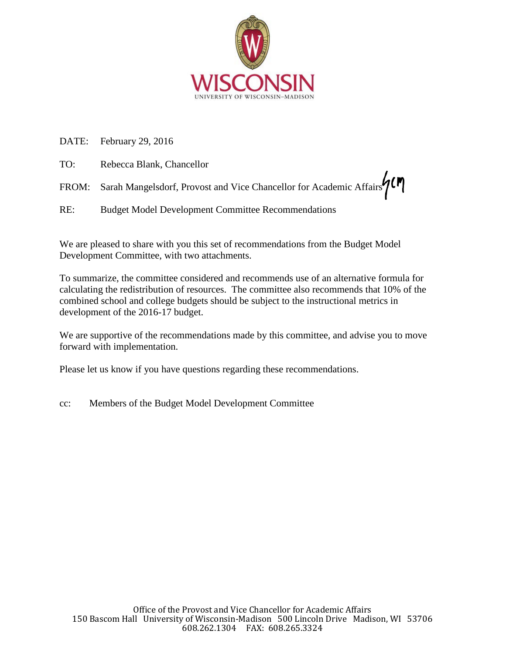

DATE: February 29, 2016

| TO: | Rebecca Blank, Chancellor                                                 |
|-----|---------------------------------------------------------------------------|
|     | FROM: Sarah Mangelsdorf, Provost and Vice Chancellor for Academic Affairs |
| RE: | <b>Budget Model Development Committee Recommendations</b>                 |

We are pleased to share with you this set of recommendations from the Budget Model Development Committee, with two attachments.

To summarize, the committee considered and recommends use of an alternative formula for calculating the redistribution of resources. The committee also recommends that 10% of the combined school and college budgets should be subject to the instructional metrics in development of the 2016-17 budget.

We are supportive of the recommendations made by this committee, and advise you to move forward with implementation.

Please let us know if you have questions regarding these recommendations.

cc: Members of the Budget Model Development Committee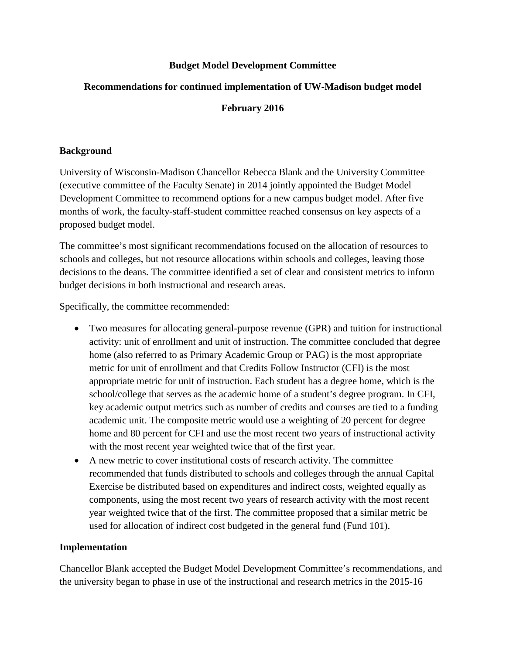## **Budget Model Development Committee**

# **Recommendations for continued implementation of UW-Madison budget model**

# **February 2016**

### **Background**

University of Wisconsin-Madison Chancellor Rebecca Blank and the University Committee (executive committee of the Faculty Senate) in 2014 jointly appointed the Budget Model Development Committee to recommend options for a new campus budget model. After five months of work, the faculty-staff-student committee reached consensus on key aspects of a proposed budget model.

The committee's most significant recommendations focused on the allocation of resources to schools and colleges, but not resource allocations within schools and colleges, leaving those decisions to the deans. The committee identified a set of clear and consistent metrics to inform budget decisions in both instructional and research areas.

Specifically, the committee recommended:

- Two measures for allocating general-purpose revenue (GPR) and tuition for instructional activity: unit of enrollment and unit of instruction. The committee concluded that degree home (also referred to as Primary Academic Group or PAG) is the most appropriate metric for unit of enrollment and that Credits Follow Instructor (CFI) is the most appropriate metric for unit of instruction. Each student has a degree home, which is the school/college that serves as the academic home of a student's degree program. In CFI, key academic output metrics such as number of credits and courses are tied to a funding academic unit. The composite metric would use a weighting of 20 percent for degree home and 80 percent for CFI and use the most recent two years of instructional activity with the most recent year weighted twice that of the first year.
- A new metric to cover institutional costs of research activity. The committee recommended that funds distributed to schools and colleges through the annual Capital Exercise be distributed based on expenditures and indirect costs, weighted equally as components, using the most recent two years of research activity with the most recent year weighted twice that of the first. The committee proposed that a similar metric be used for allocation of indirect cost budgeted in the general fund (Fund 101).

## **Implementation**

Chancellor Blank accepted the Budget Model Development Committee's recommendations, and the university began to phase in use of the instructional and research metrics in the 2015-16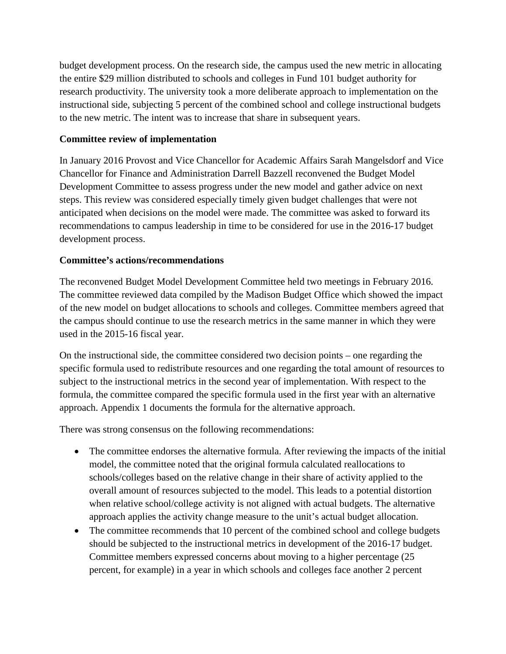budget development process. On the research side, the campus used the new metric in allocating the entire \$29 million distributed to schools and colleges in Fund 101 budget authority for research productivity. The university took a more deliberate approach to implementation on the instructional side, subjecting 5 percent of the combined school and college instructional budgets to the new metric. The intent was to increase that share in subsequent years.

### **Committee review of implementation**

In January 2016 Provost and Vice Chancellor for Academic Affairs Sarah Mangelsdorf and Vice Chancellor for Finance and Administration Darrell Bazzell reconvened the Budget Model Development Committee to assess progress under the new model and gather advice on next steps. This review was considered especially timely given budget challenges that were not anticipated when decisions on the model were made. The committee was asked to forward its recommendations to campus leadership in time to be considered for use in the 2016-17 budget development process.

#### **Committee's actions/recommendations**

The reconvened Budget Model Development Committee held two meetings in February 2016. The committee reviewed data compiled by the Madison Budget Office which showed the impact of the new model on budget allocations to schools and colleges. Committee members agreed that the campus should continue to use the research metrics in the same manner in which they were used in the 2015-16 fiscal year.

On the instructional side, the committee considered two decision points – one regarding the specific formula used to redistribute resources and one regarding the total amount of resources to subject to the instructional metrics in the second year of implementation. With respect to the formula, the committee compared the specific formula used in the first year with an alternative approach. Appendix 1 documents the formula for the alternative approach.

There was strong consensus on the following recommendations:

- The committee endorses the alternative formula. After reviewing the impacts of the initial model, the committee noted that the original formula calculated reallocations to schools/colleges based on the relative change in their share of activity applied to the overall amount of resources subjected to the model. This leads to a potential distortion when relative school/college activity is not aligned with actual budgets. The alternative approach applies the activity change measure to the unit's actual budget allocation.
- The committee recommends that 10 percent of the combined school and college budgets should be subjected to the instructional metrics in development of the 2016-17 budget. Committee members expressed concerns about moving to a higher percentage (25 percent, for example) in a year in which schools and colleges face another 2 percent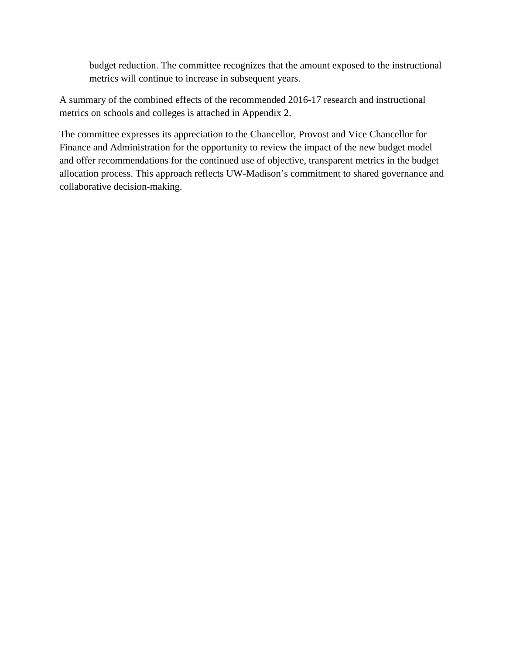budget reduction. The committee recognizes that the amount exposed to the instructional metrics will continue to increase in subsequent years.

A summary of the combined effects of the recommended 2016-17 research and instructional metrics on schools and colleges is attached in Appendix 2.

The committee expresses its appreciation to the Chancellor, Provost and Vice Chancellor for Finance and Administration for the opportunity to review the impact of the new budget model and offer recommendations for the continued use of objective, transparent metrics in the budget allocation process. This approach reflects UW-Madison's commitment to shared governance and collaborative decision-making.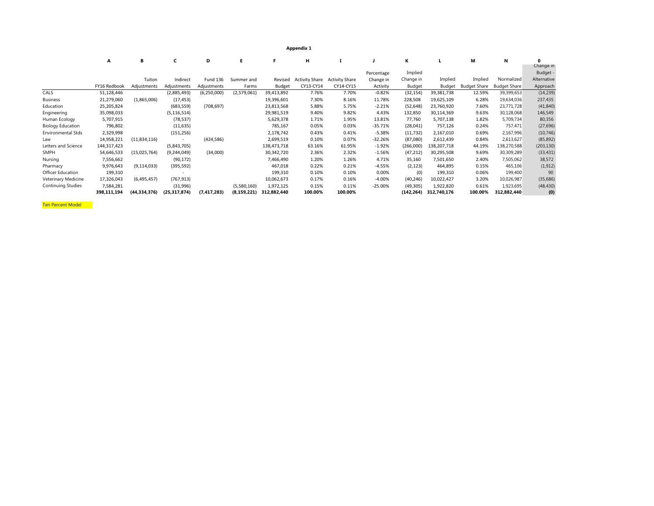**Appendix 1**

|                          | Α            | в              | c              | D               | E.            |               | н                     |                       |            | к         |             | м                   | N                   | 0<br>Change in |
|--------------------------|--------------|----------------|----------------|-----------------|---------------|---------------|-----------------------|-----------------------|------------|-----------|-------------|---------------------|---------------------|----------------|
|                          |              |                |                |                 |               |               |                       |                       | Percentage | Implied   |             |                     |                     | Budget -       |
|                          |              | Tuiton         | Indirect       | <b>Fund 136</b> | Summer and    | Revised       | <b>Activity Share</b> | <b>Activity Share</b> | Change in  | Change in | Implied     | Implied             | Normalized          | Alternative    |
|                          | FY16 Redbook | Adjustments    | Adjustments    | Adjustments     | Farms         | <b>Budget</b> | CY13-CY14             | CY14-CY15             | Activity   | Budget    | Budget      | <b>Budget Share</b> | <b>Budget Share</b> | Approach       |
| CALS                     | 51,128,446   |                | (2,885,493)    | (6,250,000)     | (2,579,061)   | 39,413,892    | 7.76%                 | 7.70%                 | $-0.82%$   | (32, 154) | 39,381,738  | 12.59%              | 39,399,653          | (14, 239)      |
| Business                 | 21,279,060   | (1,865,006)    | (17, 453)      |                 |               | 19,396,601    | 7.30%                 | 8.16%                 | 11.78%     | 228,508   | 19,625,109  | 6.28%               | 19,634,036          | 237,435        |
| Education                | 25,205,824   |                | (683, 559)     | (708, 697)      |               | 23,813,568    | 5.88%                 | 5.75%                 | $-2.21%$   | (52, 648) | 23,760,920  | 7.60%               | 23,771,728          | (41, 840)      |
| Engineering              | 35,098,033   |                | (5, 116, 514)  |                 |               | 29,981,519    | 9.40%                 | 9.82%                 | 4.43%      | 132,850   | 30,114,369  | 9.63%               | 30,128,068          | 146,549        |
| Human Ecology            | 5,707,915    |                | (78, 537)      |                 |               | 5,629,378     | 1.71%                 | 1.95%                 | 13.81%     | 77,760    | 5,707,138   | 1.82%               | 5,709,734           | 80,356         |
| <b>Biology Education</b> | 796,802      |                | (11, 635)      |                 |               | 785,167       | 0.05%                 | 0.03%                 | $-35.71%$  | (28, 041) | 757,126     | 0.24%               | 757,471             | (27, 696)      |
| Environmental Stds       | 2,329,998    |                | (151, 256)     |                 |               | 2,178,742     | 0.43%                 | 0.41%                 | $-5.38%$   | (11, 732) | 2,167,010   | 0.69%               | 2,167,996           | (10, 746)      |
| Law                      | 14,958,221   | (11,834,116)   |                | (424, 586)      |               | 2,699,519     | 0.10%                 | 0.07%                 | $-32.26%$  | (87,080)  | 2,612,439   | 0.84%               | 2,613,627           | (85, 892)      |
| Letters and Science      | 144,317,423  |                | (5,843,705)    |                 |               | 138,473,718   | 63.16%                | 61.95%                | $-1.92%$   | (266,000) | 138,207,718 | 44.19%              | 138,270,588         | (203, 130)     |
| SMPH                     | 54,646,533   | (15,025,764)   | (9, 244, 049)  | (34,000)        |               | 30,342,720    | 2.36%                 | 2.32%                 | $-1.56%$   | (47, 212) | 30,295,508  | 9.69%               | 30,309,289          | (33, 431)      |
| Nursing                  | 7,556,662    |                | (90, 172)      |                 |               | 7,466,490     | 1.20%                 | 1.26%                 | 4.71%      | 35,160    | 7,501,650   | 2.40%               | 7,505,062           | 38,572         |
| Pharmacy                 | 9,976,643    | (9, 114, 033)  | (395, 592)     |                 |               | 467,018       | 0.22%                 | 0.21%                 | $-4.55%$   | (2, 123)  | 464,895     | 0.15%               | 465,106             | (1, 912)       |
| Officer Education        | 199,310      |                | ٠              |                 |               | 199,310       | 0.10%                 | 0.10%                 | 0.00%      | (0)       | 199,310     | 0.06%               | 199,400             | 90             |
| Veterinary Medicine      | 17,326,043   | (6,495,457)    | (767, 913)     |                 |               | 10,062,673    | 0.17%                 | 0.16%                 | $-4.00%$   | (40, 246) | 10,022,427  | 3.20%               | 10,026,987          | (35, 686)      |
| Continuing Studies       | 7,584,281    |                | (31,996)       |                 | (5,580,160)   | 1,972,125     | 0.15%                 | 0.11%                 | $-25.00%$  | (49, 305) | 1,922,820   | 0.61%               | 1,923,695           | (48, 430)      |
|                          | 398,111,194  | (44, 334, 376) | (25, 317, 874) | (7, 417, 283)   | (8, 159, 221) | 312,882,440   | 100.00%               | 100.00%               |            | (142,264) | 312,740,176 | 100.00%             | 312,882,440         | (0)            |

Ten Percent Model